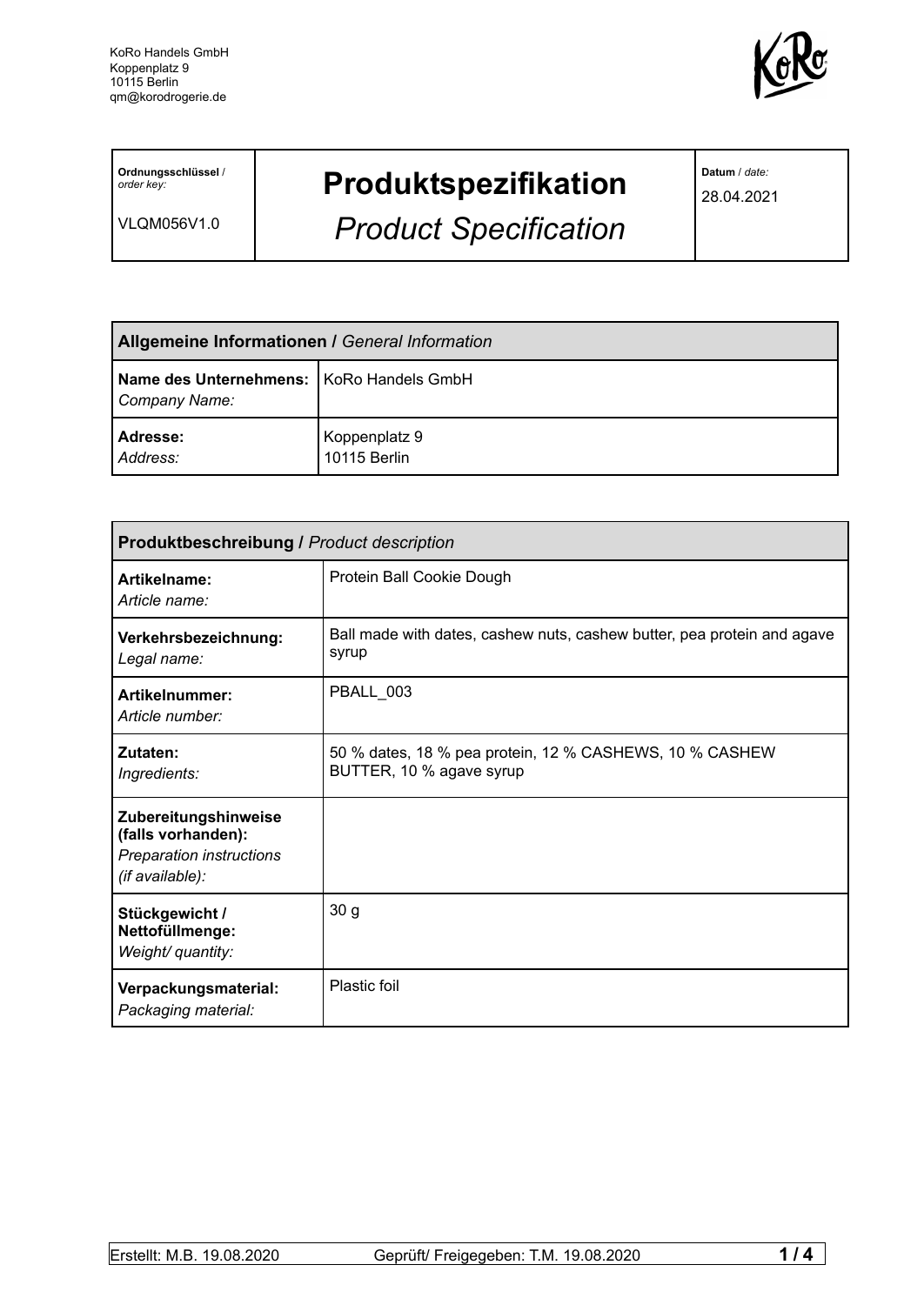

**Ordnungsschlüssel** / *order key:*

VLQM056V1.0

## **Produktspezifikation**

*Product Specification*

**Datum** / *date:*

28.04.2021

| <b>Allgemeine Informationen / General Information</b>       |                               |  |
|-------------------------------------------------------------|-------------------------------|--|
| Name des Unternehmens:   KoRo Handels GmbH<br>Company Name: |                               |  |
| Adresse:<br>Address:                                        | Koppenplatz 9<br>10115 Berlin |  |

| <b>Produktbeschreibung / Product description</b>                                          |                                                                                     |  |  |
|-------------------------------------------------------------------------------------------|-------------------------------------------------------------------------------------|--|--|
| Artikelname:<br>Article name:                                                             | Protein Ball Cookie Dough                                                           |  |  |
| Verkehrsbezeichnung:<br>Legal name:                                                       | Ball made with dates, cashew nuts, cashew butter, pea protein and agave<br>syrup    |  |  |
| Artikelnummer:<br>Article number:                                                         | PBALL 003                                                                           |  |  |
| Zutaten:<br>Ingredients:                                                                  | 50 % dates, 18 % pea protein, 12 % CASHEWS, 10 % CASHEW<br>BUTTER, 10 % agave syrup |  |  |
| Zubereitungshinweise<br>(falls vorhanden):<br>Preparation instructions<br>(if available): |                                                                                     |  |  |
| Stückgewicht /<br>Nettofüllmenge:<br>Weight/ quantity:                                    | 30 <sub>g</sub>                                                                     |  |  |
| Verpackungsmaterial:<br>Packaging material:                                               | <b>Plastic foil</b>                                                                 |  |  |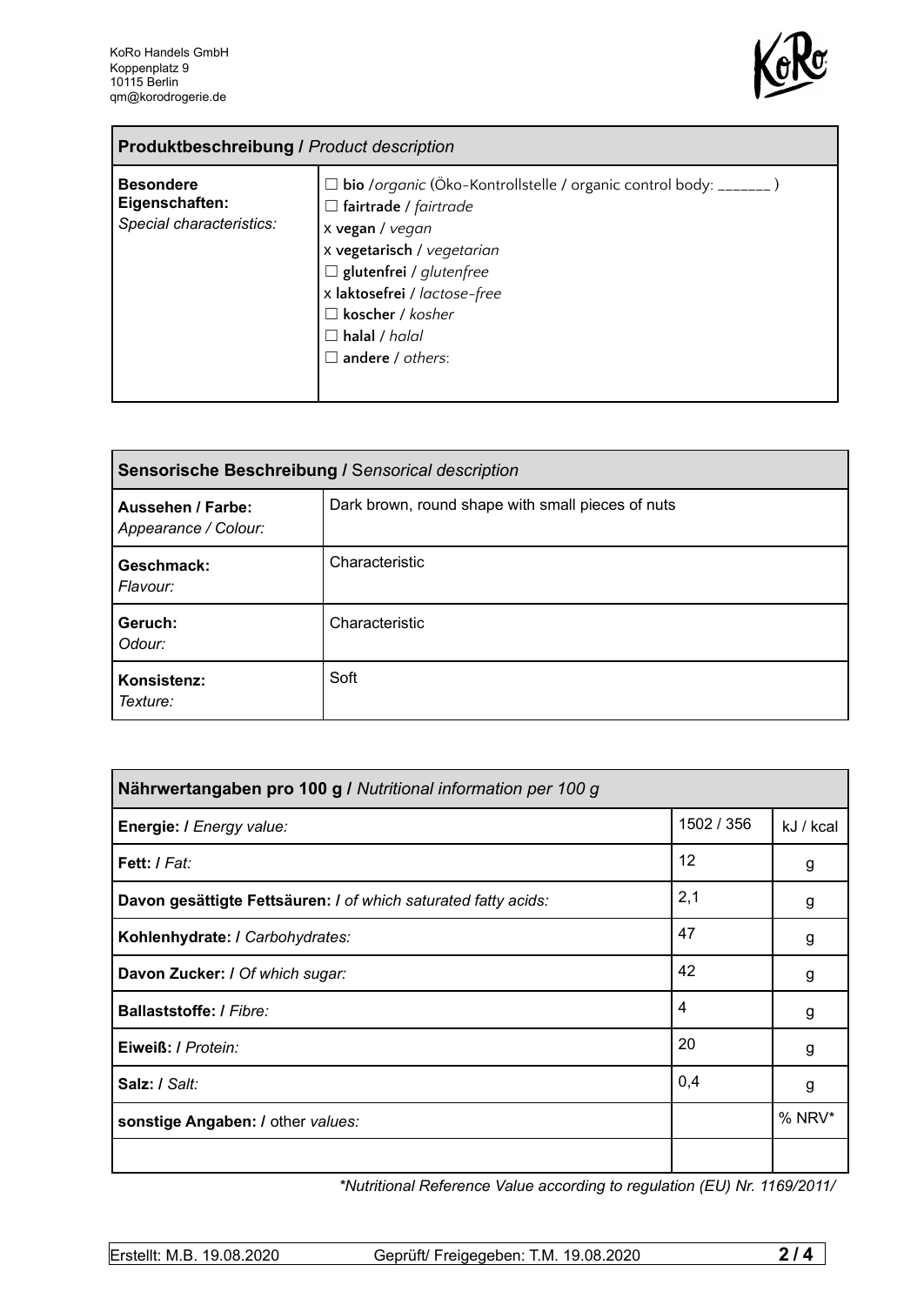

| <b>Produktbeschreibung / Product description</b>               |                                                                                                                                                                                                                                                                                                            |  |
|----------------------------------------------------------------|------------------------------------------------------------------------------------------------------------------------------------------------------------------------------------------------------------------------------------------------------------------------------------------------------------|--|
| <b>Besondere</b><br>Eigenschaften:<br>Special characteristics: | $\Box$ bio /organic (Öko-Kontrollstelle / organic control body: _______ )<br>$\Box$ fairtrade / fairtrade<br>x vegan / vegan<br>x vegetarisch / vegetarian<br>$\Box$ glutenfrei / glutenfree<br>x laktosefrei / lactose-free<br>$\Box$ koscher / kosher<br>$\Box$ halal / halal<br>$\Box$ andere / others: |  |

| Sensorische Beschreibung / Sensorical description |                                                   |  |
|---------------------------------------------------|---------------------------------------------------|--|
| Aussehen / Farbe:<br>Appearance / Colour:         | Dark brown, round shape with small pieces of nuts |  |
| Geschmack:<br>Flavour:                            | Characteristic                                    |  |
| Geruch:<br>Odour:                                 | Characteristic                                    |  |
| Konsistenz:<br>Texture:                           | Soft                                              |  |

| Nährwertangaben pro 100 g / Nutritional information per 100 g  |            |           |
|----------------------------------------------------------------|------------|-----------|
| Energie: I Energy value:                                       | 1502 / 356 | kJ / kcal |
| Fett: I Fat:                                                   | 12         | g         |
| Davon gesättigte Fettsäuren: I of which saturated fatty acids: | 2,1        | g         |
| Kohlenhydrate: I Carbohydrates:                                | 47         | g         |
| Davon Zucker: I Of which sugar:                                | 42         | g         |
| <b>Ballaststoffe: / Fibre:</b>                                 | 4          | g         |
| Eiweiß: / Protein:                                             | 20         | g         |
| Salz: / Salt:                                                  | 0,4        | g         |
| sonstige Angaben: / other values:                              |            | % NRV*    |
|                                                                |            |           |

*\*Nutritional Reference Value according to regulation (EU) Nr. 1169/2011/*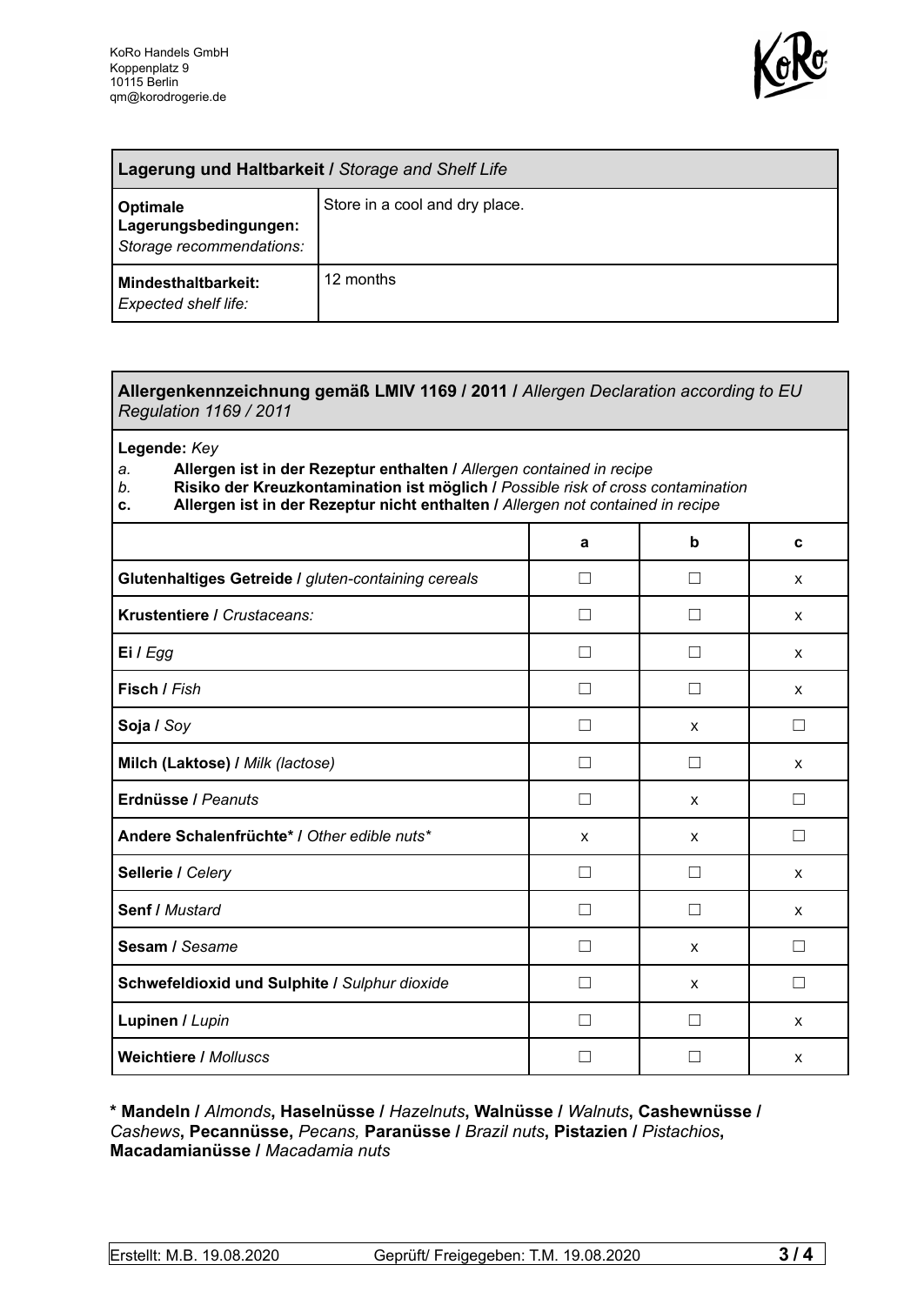

| Lagerung und Haltbarkeit / Storage and Shelf Life             |                                |  |
|---------------------------------------------------------------|--------------------------------|--|
| Optimale<br>Lagerungsbedingungen:<br>Storage recommendations: | Store in a cool and dry place. |  |
| <b>Mindesthaltbarkeit:</b><br>Expected shelf life:            | 12 months                      |  |

## **Allergenkennzeichnung gemäß LMIV 1169 / 2011 /** *Allergen Declaration according to EU Regulation 1169 / 2011*

**Legende:** *Key*

*a.* **Allergen ist in der Rezeptur enthalten /** *Allergen contained in recipe*

- *b.* **Risiko der Kreuzkontamination ist möglich /** *Possible risk of cross contamination*
- **c. Allergen ist in der Rezeptur nicht enthalten /** *Allergen not contained in recipe*

|                                                     | a                        | b            | C      |
|-----------------------------------------------------|--------------------------|--------------|--------|
| Glutenhaltiges Getreide / gluten-containing cereals | $\mathbf{I}$             |              | X      |
| Krustentiere / Crustaceans:                         |                          |              | X      |
| Ei / Egg                                            |                          |              | X      |
| Fisch / Fish                                        |                          |              | X      |
| Soja / Soy                                          |                          | X            | П      |
| Milch (Laktose) / Milk (lactose)                    |                          |              | X      |
| Erdnüsse / Peanuts                                  | П                        | $\mathsf{x}$ | $\Box$ |
| Andere Schalenfrüchte* / Other edible nuts*         | X                        | X            | $\Box$ |
| Sellerie / Celery                                   | П                        | $\perp$      | X      |
| <b>Senf / Mustard</b>                               | $\perp$                  | П            | X      |
| Sesam / Sesame                                      | $\mathbf{I}$             | X            | П      |
| Schwefeldioxid und Sulphite / Sulphur dioxide       | $\overline{\phantom{0}}$ | X            | Ш      |
| Lupinen / Lupin                                     |                          |              | X      |
| <b>Weichtiere / Molluscs</b>                        |                          |              | X      |

**\* Mandeln /** *Almonds***, Haselnüsse /** *Hazelnuts***, Walnüsse /** *Walnuts***, Cashewnüsse /** *Cashews***, Pecannüsse,** *Pecans,* **Paranüsse /** *Brazil nuts***, Pistazien /** *Pistachios***, Macadamianüsse /** *Macadamia nuts*